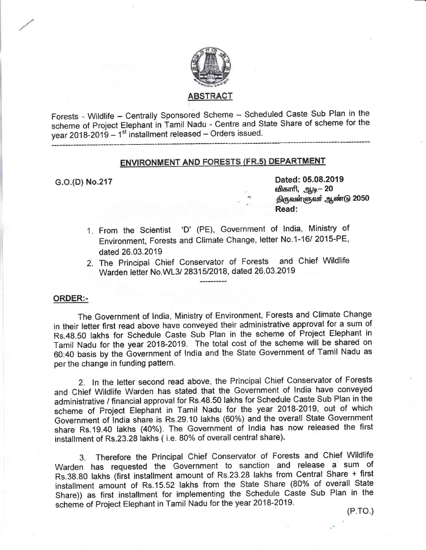

Forests - Wildlife - Centrally Sponsored Scheme - Scheduled Caste Sub Plan in the scheme of project Elephant in Tamil Nadu - Centre and State Share of scheme for the year 2018-2019 - 1<sup>st</sup> installment released - Orders issued.

# **ENVIRONMENT AND FORESTS (FR.5) DEPARTMENT**

G.O.(D) No.217 Dated: 05.08.2019 விகாரி, ஆடி– 20 திருவள்ளுவா் ஆண்டு 2050 Read:

- From the scientist 'D' (PE), Government of lndia, Ministry of 1 Environment, Forests and Climate Change, letter No.1-16/ 2015-PE, dated 26.03.2019
- 2. The Principal Chief Conservator of Forests and Chief Wildlife Warden letter No.WL3/ 28315/2018, dated 26.03.2019

#### ORDER:-

The Government of India, Ministry of Environment, Forests and Climate Change in their letter first read above have conveyed their administrative approval for a sum of Rs.48.50 lakhs for Schedule Caste Sub Plan in the scheme of Project Elephant in Tamil Nadu for the year 2018-2019. The total cost of the scheme will be shared on 60:40 basis by the Government of lndia and the State Government of Tami! Nadu as per the change in funding pattern.

2. In the letter second read above, the Principal Chief Conservator of Forests and Chief Wildlife Warden has stated that the Government of India have conveyed administrative / financial approval for Rs.48.50 lakhs for Schedule Caste Sub Plan in the scheme of Project Elephant in Tamil Nadu for the year 2018-2019, out of which Govennment of india share is Rs.29.10 lakhs (60%) and the overall State Governrnent share Rs.1g.40 lakhs (40%). The Government of india has now released the first installment of Rs.23.28 lakhs ( i.e. 80% of overall central share).

3. Therefore the Principal Chief Conservator of Forests and Chief Wildlife Warden has requested the Governrnent to sanction and release a sum of Rs.38.80 lakhs (fiist installment amount of Rs.23.28 lakhs from Centra! Share + first installment amount of Rs.15.52 lakhs from the State Share (80% of overall State Share)) as first installment for implementing the Schedule Caste Sub Plan in the scheme of Project Elephant in Tamil Nadu fon the yean 2018-2019.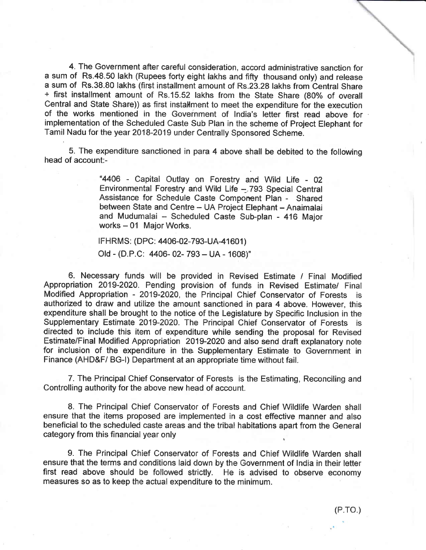4. The Government aften careful consideration, accord administrative sanction for a sum of Rs.48.50 lakh (Rupees forty eight lakhs and fifty thousand only) and release a sum of Rs.38.80 lakhs (finst installment amount of Rs.23.28 lakhs from Central Share + first installrnent amount of Rs.'!5.52 lakhs from the State Share (80% of overall Central and State Share)) as first installment to meet the expenditure for the execution of the works mentioned in the Government of India's letter first read above for implementation of the Scheduled Caste Sub Plan in the scheme of Project Elephant for Tamil Nadu for the year 2018-2019 under Centrally Sponsored Scheme.

5. The expenditure sanctioned in para 4 above shall be debited to the following head of account:-

> "4406 - Capital Outlay on Forestry and Wild Life - 02 Environmental Forestry and Wild Life --.793 Special Central Assistance for Schedule Caste Conrponent Plan - Shared between State and Centre - UA Project Elephant - Anaimalai and Mudumalai - Scheduled Caste Sub-plan - 416 Major  $works - 01$  Major Works.

IFHRMS: (DPC: 4406-02-793-UA-41601) Old - (D.P.C: 4406-02-793 - UA - 1608)"

6. Necessary funds will be provided in Revised Estinnate / Final Modified Appropriation 2019-2020. Pending provision of funds in Revised Estimate/ Final Modified Appropriation - 2019-2020, the Principal Chief Conservator of Forests is authorized to draw and utilize the amount sanctioned in para 4 above. However, this expenditure shall be brought to the notice of the Legislature by Specific lnclusion in the Supplementary Estimate 2019-2020. The Principal Chief Conservator of Forests is directed to include this item of expenditure while sending the proposal for Revised Estimate/Final Modified Appropriation 2019-2020 and also send draft explanatory note for inclusion of the expenditure in the Supplementary Estimate to Government in Finance (AHD&F/ BG-I) Department at an appropriate time without fail.

7. The Principal Chief Conseruator of Forests is the Estimating, Reconeiling and Controlling authority for the above new head of account.

8. The Principal Chief Conservator of Forests and Chief Wildlife Warden shall ensure that the items proposed ane implemented in a cost effective manner and also beneficial to the scheduled caste areas and the tribal habitations apart from the General category from this financial year only

9. The Frincipal Chief Conservator of Forests and Chief Wildlife Warden shall ensure that the terrns and eonditions laid down by the Government of lndia in their letter first read above should be followed strictly. He is advised to observe economy measures so as to keep the actual expenditure to the minimum.